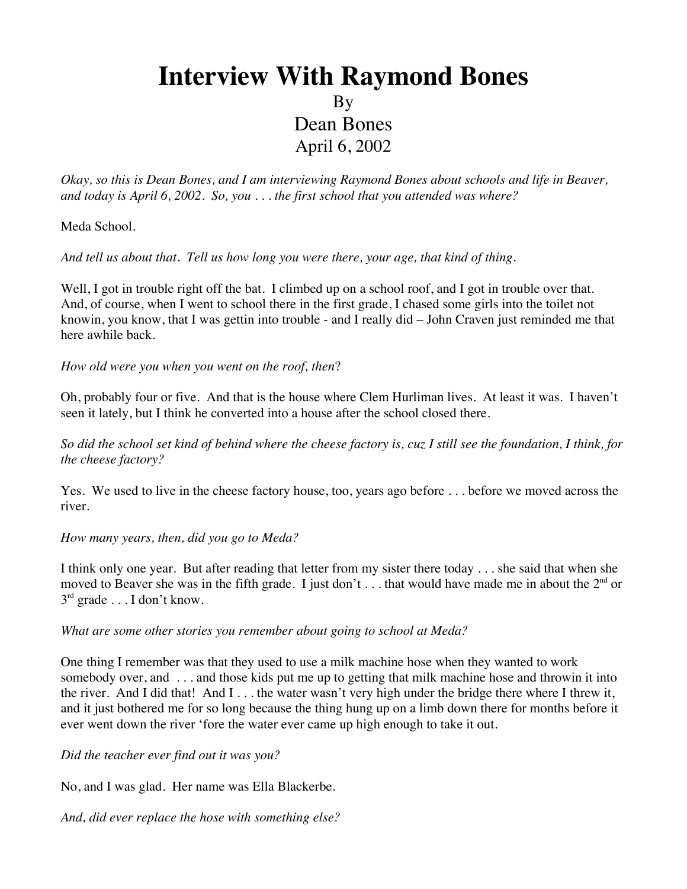# **Interview With Raymond Bones** By Dean Bones April 6, 2002

*Okay, so this is Dean Bones, and I am interviewing Raymond Bones about schools and life in Beaver, and today is April 6, 2002. So, you . . . the first school that you attended was where?*

Meda School.

*And tell us about that. Tell us how long you were there, your age, that kind of thing*.

Well, I got in trouble right off the bat. I climbed up on a school roof, and I got in trouble over that. And, of course, when I went to school there in the first grade, I chased some girls into the toilet not knowin, you know, that I was gettin into trouble - and I really did – John Craven just reminded me that here awhile back.

*How old were you when you went on the roof, then*?

Oh, probably four or five. And that is the house where Clem Hurliman lives. At least it was. I haven't seen it lately, but I think he converted into a house after the school closed there.

*So did the school set kind of behind where the cheese factory is, cuz I still see the foundation, I think, for the cheese factory?*

Yes. We used to live in the cheese factory house, too, years ago before . . . before we moved across the river.

*How many years, then, did you go to Meda?*

I think only one year. But after reading that letter from my sister there today . . . she said that when she moved to Beaver she was in the fifth grade. I just don't ... that would have made me in about the  $2<sup>nd</sup>$  or 3rd grade . . . I don't know.

*What are some other stories you remember about going to school at Meda?*

One thing I remember was that they used to use a milk machine hose when they wanted to work somebody over, and . . . and those kids put me up to getting that milk machine hose and throwin it into the river. And I did that! And I . . . the water wasn't very high under the bridge there where I threw it, and it just bothered me for so long because the thing hung up on a limb down there for months before it ever went down the river 'fore the water ever came up high enough to take it out.

*Did the teacher ever find out it was you?*

No, and I was glad. Her name was Ella Blackerbe.

*And, did ever replace the hose with something else?*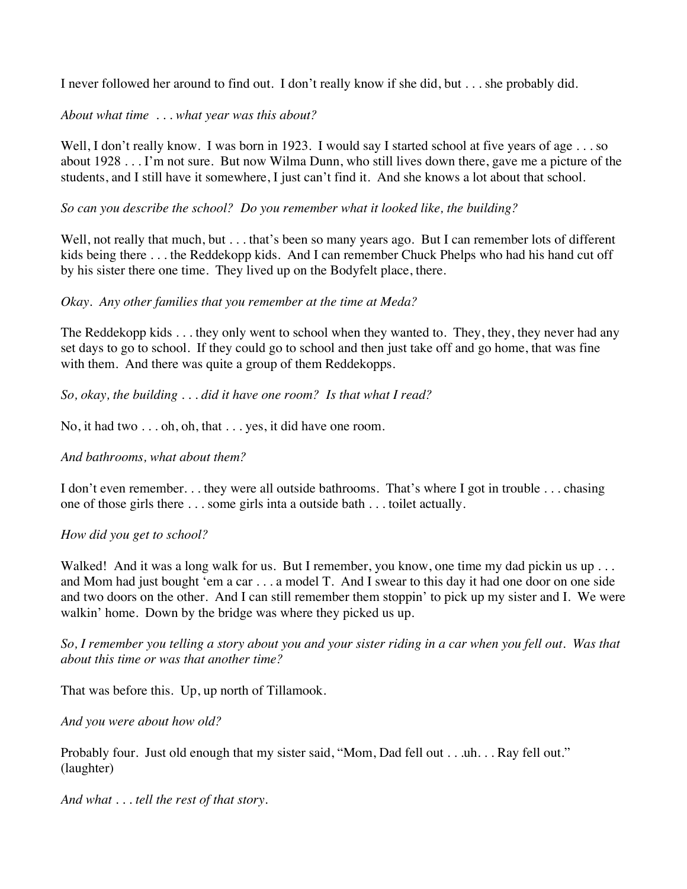I never followed her around to find out. I don't really know if she did, but . . . she probably did.

## *About what time . . . what year was this about?*

Well, I don't really know. I was born in 1923. I would say I started school at five years of age . . . so about 1928 . . . I'm not sure. But now Wilma Dunn, who still lives down there, gave me a picture of the students, and I still have it somewhere, I just can't find it. And she knows a lot about that school.

#### *So can you describe the school? Do you remember what it looked like, the building?*

Well, not really that much, but . . . that's been so many years ago. But I can remember lots of different kids being there . . . the Reddekopp kids. And I can remember Chuck Phelps who had his hand cut off by his sister there one time. They lived up on the Bodyfelt place, there.

## *Okay. Any other families that you remember at the time at Meda?*

The Reddekopp kids . . . they only went to school when they wanted to. They, they, they never had any set days to go to school. If they could go to school and then just take off and go home, that was fine with them. And there was quite a group of them Reddekopps.

*So, okay, the building . . . did it have one room? Is that what I read?*

No, it had two . . . oh, oh, that . . . yes, it did have one room.

## *And bathrooms, what about them?*

I don't even remember. . . they were all outside bathrooms. That's where I got in trouble . . . chasing one of those girls there . . . some girls inta a outside bath . . . toilet actually.

#### *How did you get to school?*

Walked! And it was a long walk for us. But I remember, you know, one time my dad pickin us up . . . and Mom had just bought 'em a car . . . a model T. And I swear to this day it had one door on one side and two doors on the other. And I can still remember them stoppin' to pick up my sister and I. We were walkin' home. Down by the bridge was where they picked us up.

*So, I remember you telling a story about you and your sister riding in a car when you fell out. Was that about this time or was that another time?*

That was before this. Up, up north of Tillamook.

*And you were about how old?*

Probably four. Just old enough that my sister said, "Mom, Dad fell out . . .uh. . . Ray fell out." (laughter)

*And what . . . tell the rest of that story.*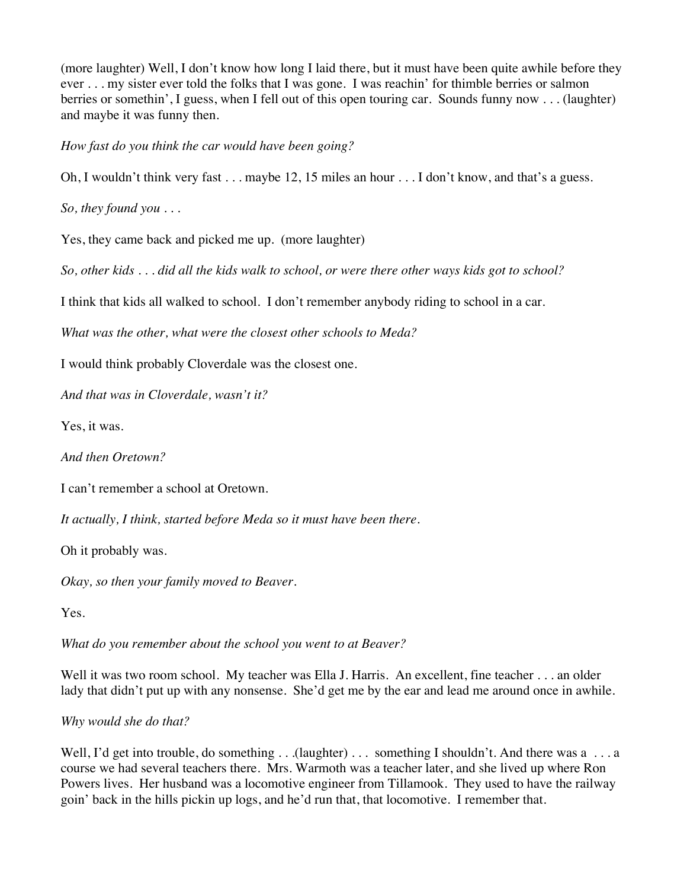(more laughter) Well, I don't know how long I laid there, but it must have been quite awhile before they ever . . . my sister ever told the folks that I was gone. I was reachin' for thimble berries or salmon berries or somethin', I guess, when I fell out of this open touring car. Sounds funny now . . . (laughter) and maybe it was funny then.

*How fast do you think the car would have been going?*

Oh, I wouldn't think very fast . . . maybe 12, 15 miles an hour . . . I don't know, and that's a guess.

*So, they found you . . .*

Yes, they came back and picked me up. (more laughter)

*So, other kids . . . did all the kids walk to school, or were there other ways kids got to school?*

I think that kids all walked to school. I don't remember anybody riding to school in a car.

*What was the other, what were the closest other schools to Meda?*

I would think probably Cloverdale was the closest one.

*And that was in Cloverdale, wasn't it?*

Yes, it was.

*And then Oretown?*

I can't remember a school at Oretown.

*It actually, I think, started before Meda so it must have been there.*

Oh it probably was.

*Okay, so then your family moved to Beaver.*

Yes.

*What do you remember about the school you went to at Beaver?*

Well it was two room school. My teacher was Ella J. Harris. An excellent, fine teacher . . . an older lady that didn't put up with any nonsense. She'd get me by the ear and lead me around once in awhile.

*Why would she do that?*

Well, I'd get into trouble, do something . . .(laughter) . . . something I shouldn't. And there was a . . . a course we had several teachers there. Mrs. Warmoth was a teacher later, and she lived up where Ron Powers lives. Her husband was a locomotive engineer from Tillamook. They used to have the railway goin' back in the hills pickin up logs, and he'd run that, that locomotive. I remember that.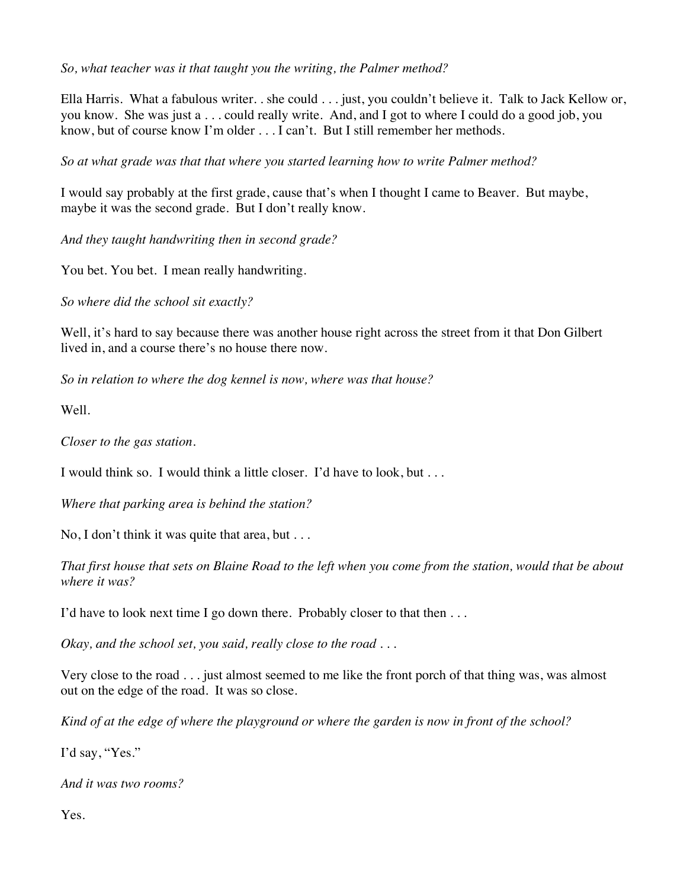*So, what teacher was it that taught you the writing, the Palmer method?*

Ella Harris. What a fabulous writer. . she could . . . just, you couldn't believe it. Talk to Jack Kellow or, you know. She was just a . . . could really write. And, and I got to where I could do a good job, you know, but of course know I'm older . . . I can't. But I still remember her methods.

*So at what grade was that that where you started learning how to write Palmer method?*

I would say probably at the first grade, cause that's when I thought I came to Beaver. But maybe, maybe it was the second grade. But I don't really know.

*And they taught handwriting then in second grade?*

You bet. You bet. I mean really handwriting.

*So where did the school sit exactly?*

Well, it's hard to say because there was another house right across the street from it that Don Gilbert lived in, and a course there's no house there now.

*So in relation to where the dog kennel is now, where was that house?*

Well.

*Closer to the gas station.*

I would think so. I would think a little closer. I'd have to look, but . . .

*Where that parking area is behind the station?*

No, I don't think it was quite that area, but . . .

*That first house that sets on Blaine Road to the left when you come from the station, would that be about where it was?*

I'd have to look next time I go down there. Probably closer to that then ...

*Okay, and the school set, you said, really close to the road . . .*

Very close to the road . . . just almost seemed to me like the front porch of that thing was, was almost out on the edge of the road. It was so close.

*Kind of at the edge of where the playground or where the garden is now in front of the school?*

I'd say, "Yes."

*And it was two rooms?*

Yes.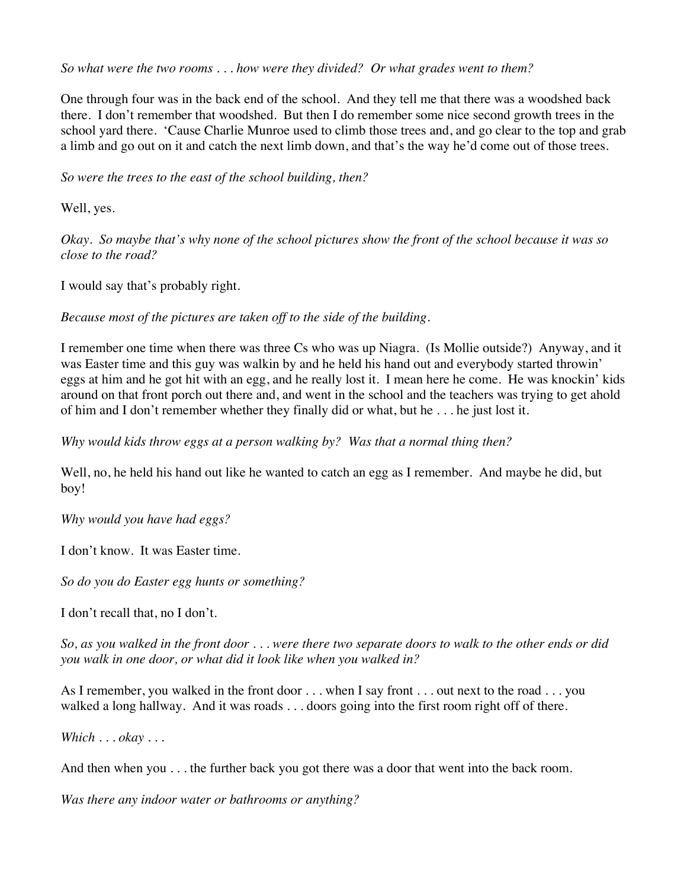*So what were the two rooms . . . how were they divided? Or what grades went to them?*

One through four was in the back end of the school. And they tell me that there was a woodshed back there. I don't remember that woodshed. But then I do remember some nice second growth trees in the school yard there. 'Cause Charlie Munroe used to climb those trees and, and go clear to the top and grab a limb and go out on it and catch the next limb down, and that's the way he'd come out of those trees.

*So were the trees to the east of the school building, then?*

Well, yes.

*Okay. So maybe that's why none of the school pictures show the front of the school because it was so close to the road?*

I would say that's probably right.

*Because most of the pictures are taken off to the side of the building.*

I remember one time when there was three Cs who was up Niagra. (Is Mollie outside?) Anyway, and it was Easter time and this guy was walkin by and he held his hand out and everybody started throwin' eggs at him and he got hit with an egg, and he really lost it. I mean here he come. He was knockin' kids around on that front porch out there and, and went in the school and the teachers was trying to get ahold of him and I don't remember whether they finally did or what, but he . . . he just lost it.

*Why would kids throw eggs at a person walking by? Was that a normal thing then?*

Well, no, he held his hand out like he wanted to catch an egg as I remember. And maybe he did, but boy!

*Why would you have had eggs?*

I don't know. It was Easter time.

*So do you do Easter egg hunts or something?*

I don't recall that, no I don't.

*So, as you walked in the front door . . . were there two separate doors to walk to the other ends or did you walk in one door, or what did it look like when you walked in?*

As I remember, you walked in the front door . . . when I say front . . . out next to the road . . . you walked a long hallway. And it was roads . . . doors going into the first room right off of there.

*Which . . . okay . . .*

And then when you . . . the further back you got there was a door that went into the back room.

*Was there any indoor water or bathrooms or anything?*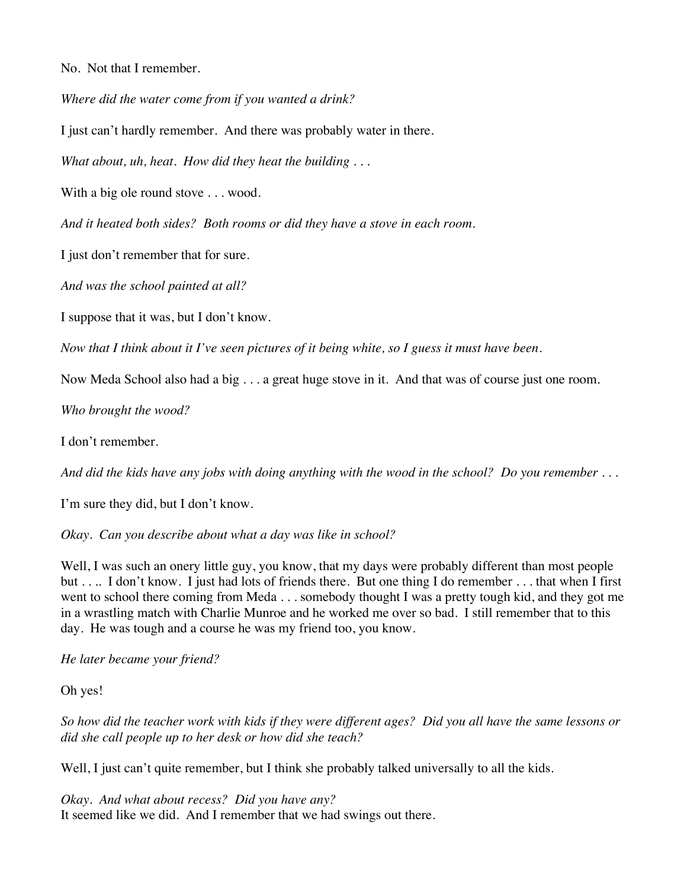No. Not that I remember.

*Where did the water come from if you wanted a drink?*

I just can't hardly remember. And there was probably water in there.

*What about, uh, heat. How did they heat the building . . .*

With a big ole round stove . . . wood.

*And it heated both sides? Both rooms or did they have a stove in each room.*

I just don't remember that for sure.

*And was the school painted at all?*

I suppose that it was, but I don't know.

*Now that I think about it I've seen pictures of it being white, so I guess it must have been.*

Now Meda School also had a big . . . a great huge stove in it. And that was of course just one room.

*Who brought the wood?*

I don't remember.

*And did the kids have any jobs with doing anything with the wood in the school? Do you remember . . .*

I'm sure they did, but I don't know.

*Okay. Can you describe about what a day was like in school?*

Well, I was such an onery little guy, you know, that my days were probably different than most people but . . .. I don't know. I just had lots of friends there. But one thing I do remember . . . that when I first went to school there coming from Meda . . . somebody thought I was a pretty tough kid, and they got me in a wrastling match with Charlie Munroe and he worked me over so bad. I still remember that to this day. He was tough and a course he was my friend too, you know.

*He later became your friend?*

Oh yes!

*So how did the teacher work with kids if they were different ages? Did you all have the same lessons or did she call people up to her desk or how did she teach?*

Well, I just can't quite remember, but I think she probably talked universally to all the kids.

*Okay. And what about recess? Did you have any?* It seemed like we did. And I remember that we had swings out there.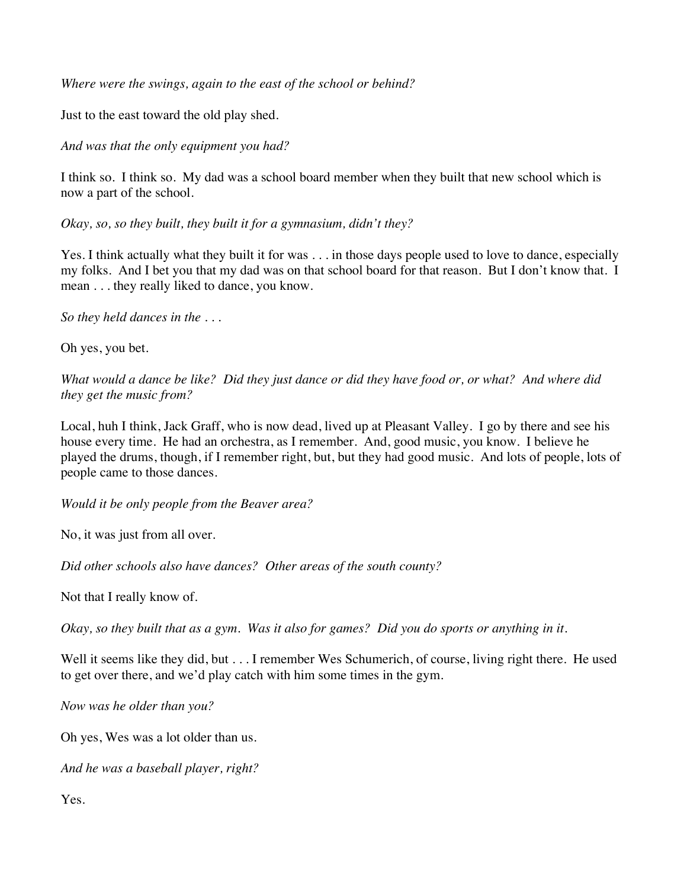*Where were the swings, again to the east of the school or behind?*

Just to the east toward the old play shed.

*And was that the only equipment you had?*

I think so. I think so. My dad was a school board member when they built that new school which is now a part of the school.

*Okay, so, so they built, they built it for a gymnasium, didn't they?*

Yes. I think actually what they built it for was . . . in those days people used to love to dance, especially my folks. And I bet you that my dad was on that school board for that reason. But I don't know that. I mean . . . they really liked to dance, you know.

*So they held dances in the . . .*

Oh yes, you bet.

*What would a dance be like? Did they just dance or did they have food or, or what? And where did they get the music from?*

Local, huh I think, Jack Graff, who is now dead, lived up at Pleasant Valley. I go by there and see his house every time. He had an orchestra, as I remember. And, good music, you know. I believe he played the drums, though, if I remember right, but, but they had good music. And lots of people, lots of people came to those dances.

*Would it be only people from the Beaver area?*

No, it was just from all over.

*Did other schools also have dances? Other areas of the south county?*

Not that I really know of.

*Okay, so they built that as a gym. Was it also for games? Did you do sports or anything in it.*

Well it seems like they did, but . . . I remember Wes Schumerich, of course, living right there. He used to get over there, and we'd play catch with him some times in the gym.

*Now was he older than you?*

Oh yes, Wes was a lot older than us.

*And he was a baseball player, right?*

Yes.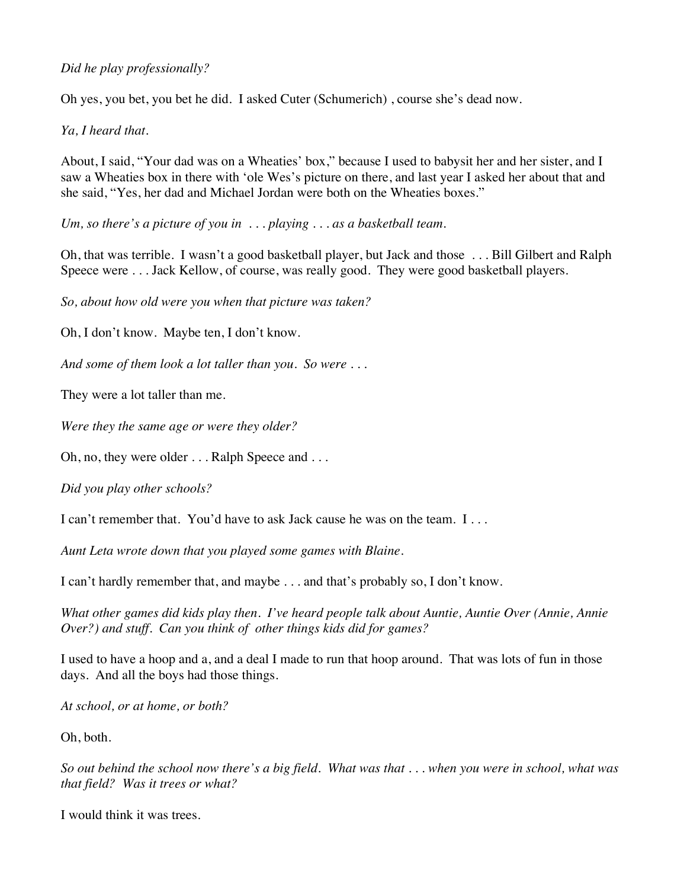# *Did he play professionally?*

Oh yes, you bet, you bet he did. I asked Cuter (Schumerich) , course she's dead now.

*Ya, I heard that.*

About, I said, "Your dad was on a Wheaties' box," because I used to babysit her and her sister, and I saw a Wheaties box in there with 'ole Wes's picture on there, and last year I asked her about that and she said, "Yes, her dad and Michael Jordan were both on the Wheaties boxes."

*Um, so there's a picture of you in . . . playing . . . as a basketball team.*

Oh, that was terrible. I wasn't a good basketball player, but Jack and those . . . Bill Gilbert and Ralph Speece were . . . Jack Kellow, of course, was really good. They were good basketball players*.* 

*So, about how old were you when that picture was taken?*

Oh, I don't know. Maybe ten, I don't know.

*And some of them look a lot taller than you. So were . . .* 

They were a lot taller than me.

*Were they the same age or were they older?*

Oh, no, they were older . . . Ralph Speece and . . .

*Did you play other schools?*

I can't remember that. You'd have to ask Jack cause he was on the team. I . . .

*Aunt Leta wrote down that you played some games with Blaine.*

I can't hardly remember that, and maybe . . . and that's probably so, I don't know.

*What other games did kids play then. I've heard people talk about Auntie, Auntie Over (Annie, Annie Over?) and stuff. Can you think of other things kids did for games?*

I used to have a hoop and a, and a deal I made to run that hoop around. That was lots of fun in those days. And all the boys had those things.

*At school, or at home, or both?*

Oh, both.

*So out behind the school now there's a big field. What was that . . . when you were in school, what was that field? Was it trees or what?*

I would think it was trees.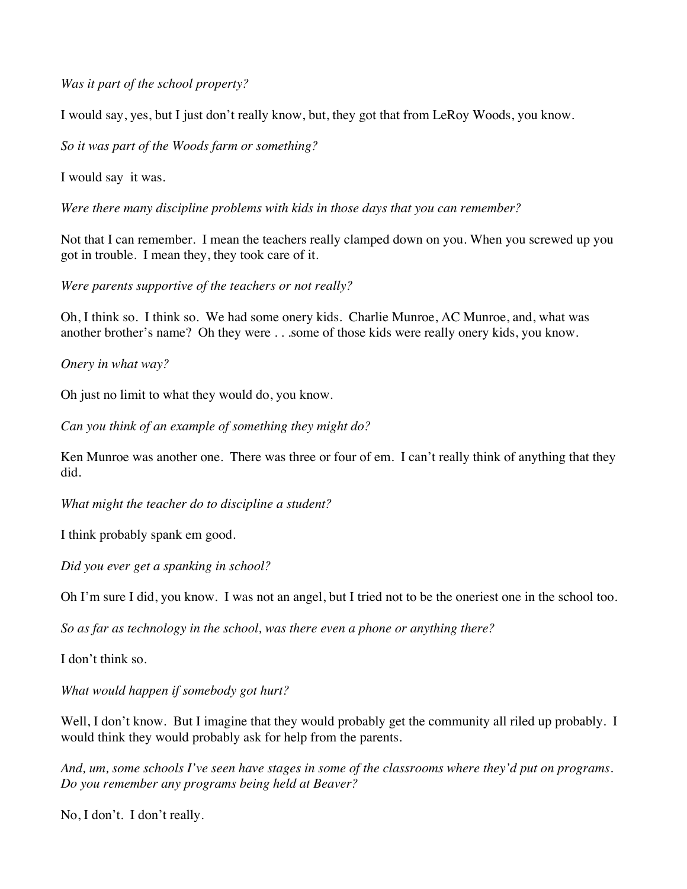*Was it part of the school property?*

I would say, yes, but I just don't really know, but, they got that from LeRoy Woods, you know.

*So it was part of the Woods farm or something?*

I would say it was.

*Were there many discipline problems with kids in those days that you can remember?*

Not that I can remember. I mean the teachers really clamped down on you. When you screwed up you got in trouble. I mean they, they took care of it.

*Were parents supportive of the teachers or not really?*

Oh, I think so. I think so. We had some onery kids. Charlie Munroe, AC Munroe, and, what was another brother's name? Oh they were . . .some of those kids were really onery kids, you know.

*Onery in what way?*

Oh just no limit to what they would do, you know.

*Can you think of an example of something they might do?*

Ken Munroe was another one. There was three or four of em. I can't really think of anything that they did.

*What might the teacher do to discipline a student?*

I think probably spank em good.

*Did you ever get a spanking in school?*

Oh I'm sure I did, you know. I was not an angel, but I tried not to be the oneriest one in the school too.

*So as far as technology in the school, was there even a phone or anything there?*

I don't think so.

*What would happen if somebody got hurt?*

Well, I don't know. But I imagine that they would probably get the community all riled up probably. I would think they would probably ask for help from the parents.

*And, um, some schools I've seen have stages in some of the classrooms where they'd put on programs. Do you remember any programs being held at Beaver?*

No, I don't. I don't really.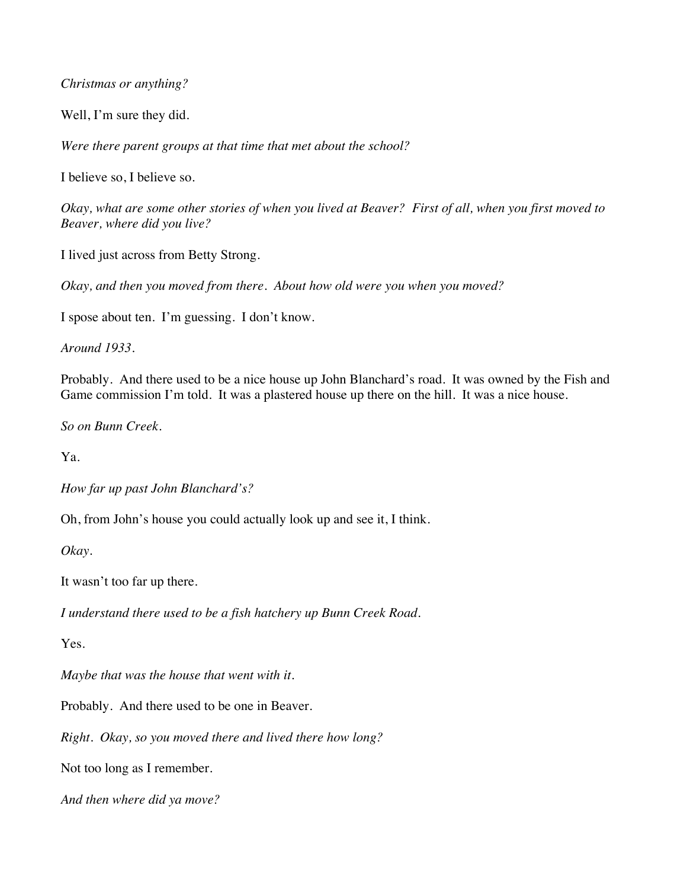#### *Christmas or anything?*

Well, I'm sure they did.

*Were there parent groups at that time that met about the school?*

I believe so, I believe so.

*Okay, what are some other stories of when you lived at Beaver? First of all, when you first moved to Beaver, where did you live?*

I lived just across from Betty Strong.

*Okay, and then you moved from there. About how old were you when you moved?*

I spose about ten. I'm guessing. I don't know.

*Around 1933.*

Probably. And there used to be a nice house up John Blanchard's road. It was owned by the Fish and Game commission I'm told. It was a plastered house up there on the hill. It was a nice house.

*So on Bunn Creek.*

Ya.

*How far up past John Blanchard's?*

Oh, from John's house you could actually look up and see it, I think.

*Okay.*

It wasn't too far up there.

*I understand there used to be a fish hatchery up Bunn Creek Road.*

Yes.

*Maybe that was the house that went with it.*

Probably. And there used to be one in Beaver.

*Right. Okay, so you moved there and lived there how long?*

Not too long as I remember.

*And then where did ya move?*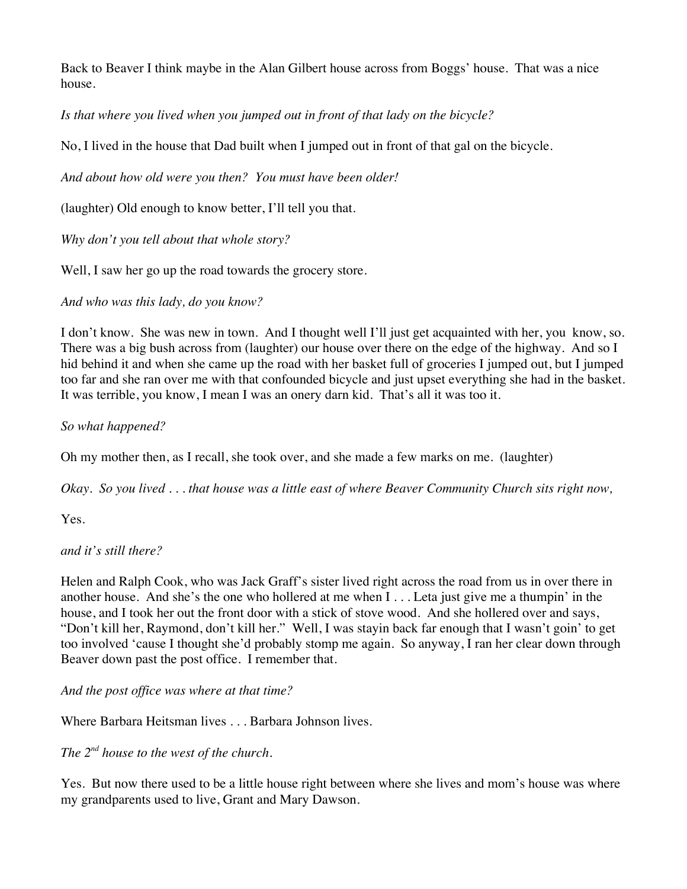Back to Beaver I think maybe in the Alan Gilbert house across from Boggs' house. That was a nice house.

*Is that where you lived when you jumped out in front of that lady on the bicycle?*

No, I lived in the house that Dad built when I jumped out in front of that gal on the bicycle.

*And about how old were you then? You must have been older!*

(laughter) Old enough to know better, I'll tell you that.

*Why don't you tell about that whole story?*

Well, I saw her go up the road towards the grocery store.

*And who was this lady, do you know?*

I don't know. She was new in town. And I thought well I'll just get acquainted with her, you know, so. There was a big bush across from (laughter) our house over there on the edge of the highway. And so I hid behind it and when she came up the road with her basket full of groceries I jumped out, but I jumped too far and she ran over me with that confounded bicycle and just upset everything she had in the basket. It was terrible, you know, I mean I was an onery darn kid. That's all it was too it.

*So what happened?*

Oh my mother then, as I recall, she took over, and she made a few marks on me. (laughter)

*Okay. So you lived . . . that house was a little east of where Beaver Community Church sits right now,* 

Yes.

## *and it's still there?*

Helen and Ralph Cook, who was Jack Graff's sister lived right across the road from us in over there in another house. And she's the one who hollered at me when I . . . Leta just give me a thumpin' in the house, and I took her out the front door with a stick of stove wood. And she hollered over and says, "Don't kill her, Raymond, don't kill her." Well, I was stayin back far enough that I wasn't goin' to get too involved 'cause I thought she'd probably stomp me again. So anyway, I ran her clear down through Beaver down past the post office. I remember that.

*And the post office was where at that time?*

Where Barbara Heitsman lives . . . Barbara Johnson lives.

*The 2nd house to the west of the church.*

Yes. But now there used to be a little house right between where she lives and mom's house was where my grandparents used to live, Grant and Mary Dawson.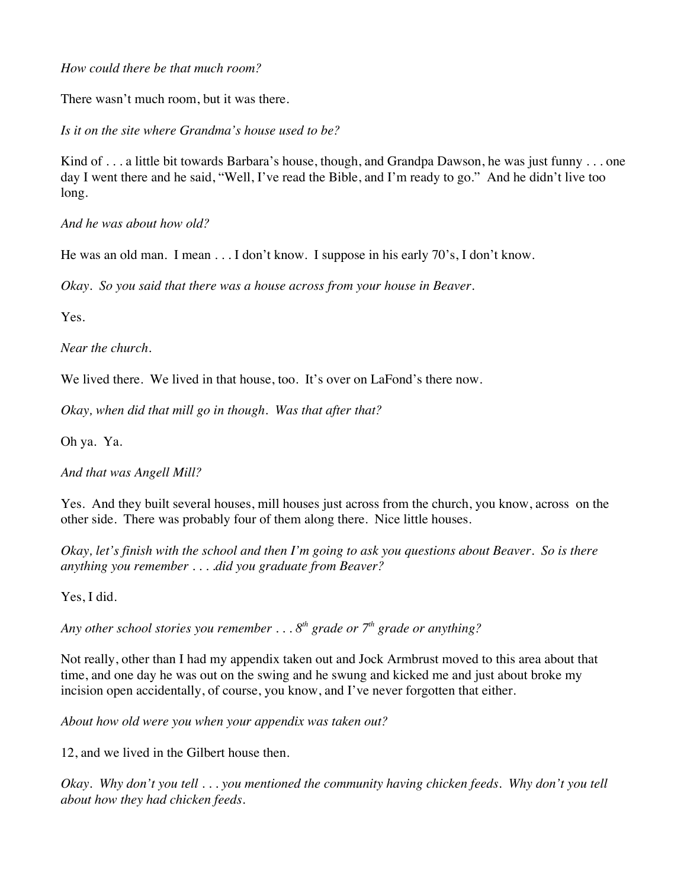*How could there be that much room?*

There wasn't much room, but it was there.

*Is it on the site where Grandma's house used to be?*

Kind of . . . a little bit towards Barbara's house, though, and Grandpa Dawson, he was just funny . . . one day I went there and he said, "Well, I've read the Bible, and I'm ready to go." And he didn't live too long.

*And he was about how old?*

He was an old man. I mean . . . I don't know. I suppose in his early 70's, I don't know.

*Okay. So you said that there was a house across from your house in Beaver.*

Yes.

*Near the church.*

We lived there. We lived in that house, too. It's over on LaFond's there now.

*Okay, when did that mill go in though. Was that after that?*

Oh ya. Ya.

*And that was Angell Mill?*

Yes. And they built several houses, mill houses just across from the church, you know, across on the other side. There was probably four of them along there. Nice little houses.

*Okay, let's finish with the school and then I'm going to ask you questions about Beaver. So is there anything you remember . . . .did you graduate from Beaver?*

Yes, I did.

*Any other school stories you remember . . . 8th grade or 7th grade or anything?*

Not really, other than I had my appendix taken out and Jock Armbrust moved to this area about that time, and one day he was out on the swing and he swung and kicked me and just about broke my incision open accidentally, of course, you know, and I've never forgotten that either.

*About how old were you when your appendix was taken out?*

12, and we lived in the Gilbert house then.

*Okay. Why don't you tell . . . you mentioned the community having chicken feeds. Why don't you tell about how they had chicken feeds.*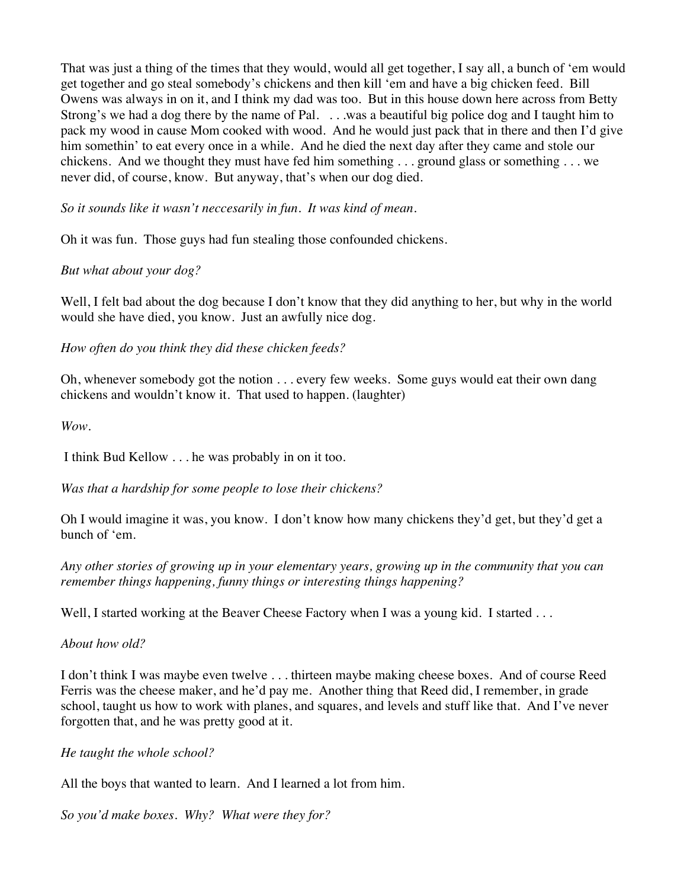That was just a thing of the times that they would, would all get together, I say all, a bunch of 'em would get together and go steal somebody's chickens and then kill 'em and have a big chicken feed. Bill Owens was always in on it, and I think my dad was too. But in this house down here across from Betty Strong's we had a dog there by the name of Pal. . . .was a beautiful big police dog and I taught him to pack my wood in cause Mom cooked with wood. And he would just pack that in there and then I'd give him somethin' to eat every once in a while. And he died the next day after they came and stole our chickens. And we thought they must have fed him something . . . ground glass or something . . . we never did, of course, know. But anyway, that's when our dog died.

*So it sounds like it wasn't neccesarily in fun. It was kind of mean.*

Oh it was fun. Those guys had fun stealing those confounded chickens.

## *But what about your dog?*

Well, I felt bad about the dog because I don't know that they did anything to her, but why in the world would she have died, you know. Just an awfully nice dog.

*How often do you think they did these chicken feeds?*

Oh, whenever somebody got the notion . . . every few weeks. Some guys would eat their own dang chickens and wouldn't know it. That used to happen. (laughter)

*Wow.*

I think Bud Kellow . . . he was probably in on it too.

*Was that a hardship for some people to lose their chickens?*

Oh I would imagine it was, you know. I don't know how many chickens they'd get, but they'd get a bunch of 'em.

*Any other stories of growing up in your elementary years, growing up in the community that you can remember things happening, funny things or interesting things happening?*

Well, I started working at the Beaver Cheese Factory when I was a young kid. I started ...

*About how old?*

I don't think I was maybe even twelve . . . thirteen maybe making cheese boxes. And of course Reed Ferris was the cheese maker, and he'd pay me. Another thing that Reed did, I remember, in grade school, taught us how to work with planes, and squares, and levels and stuff like that. And I've never forgotten that, and he was pretty good at it.

*He taught the whole school?*

All the boys that wanted to learn. And I learned a lot from him.

*So you'd make boxes. Why? What were they for?*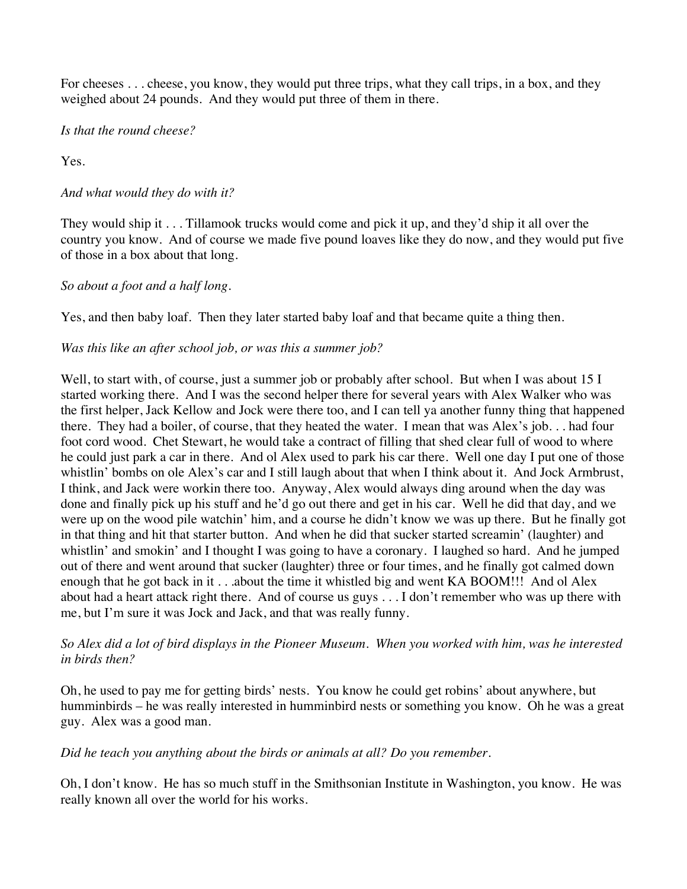For cheeses . . . cheese, you know, they would put three trips, what they call trips, in a box, and they weighed about 24 pounds. And they would put three of them in there.

*Is that the round cheese?*

Yes.

## *And what would they do with it?*

They would ship it . . . Tillamook trucks would come and pick it up, and they'd ship it all over the country you know. And of course we made five pound loaves like they do now, and they would put five of those in a box about that long.

## *So about a foot and a half long.*

Yes, and then baby loaf. Then they later started baby loaf and that became quite a thing then.

## *Was this like an after school job, or was this a summer job?*

Well, to start with, of course, just a summer job or probably after school. But when I was about 15 I started working there. And I was the second helper there for several years with Alex Walker who was the first helper, Jack Kellow and Jock were there too, and I can tell ya another funny thing that happened there. They had a boiler, of course, that they heated the water. I mean that was Alex's job. . . had four foot cord wood. Chet Stewart, he would take a contract of filling that shed clear full of wood to where he could just park a car in there. And ol Alex used to park his car there. Well one day I put one of those whistlin' bombs on ole Alex's car and I still laugh about that when I think about it. And Jock Armbrust, I think, and Jack were workin there too. Anyway, Alex would always ding around when the day was done and finally pick up his stuff and he'd go out there and get in his car. Well he did that day, and we were up on the wood pile watchin' him, and a course he didn't know we was up there. But he finally got in that thing and hit that starter button. And when he did that sucker started screamin' (laughter) and whistlin' and smokin' and I thought I was going to have a coronary. I laughed so hard. And he jumped out of there and went around that sucker (laughter) three or four times, and he finally got calmed down enough that he got back in it . . .about the time it whistled big and went KA BOOM!!! And ol Alex about had a heart attack right there. And of course us guys . . . I don't remember who was up there with me, but I'm sure it was Jock and Jack, and that was really funny.

## *So Alex did a lot of bird displays in the Pioneer Museum. When you worked with him, was he interested in birds then?*

Oh, he used to pay me for getting birds' nests. You know he could get robins' about anywhere, but humminbirds – he was really interested in humminbird nests or something you know. Oh he was a great guy. Alex was a good man.

#### *Did he teach you anything about the birds or animals at all? Do you remember.*

Oh, I don't know. He has so much stuff in the Smithsonian Institute in Washington, you know. He was really known all over the world for his works.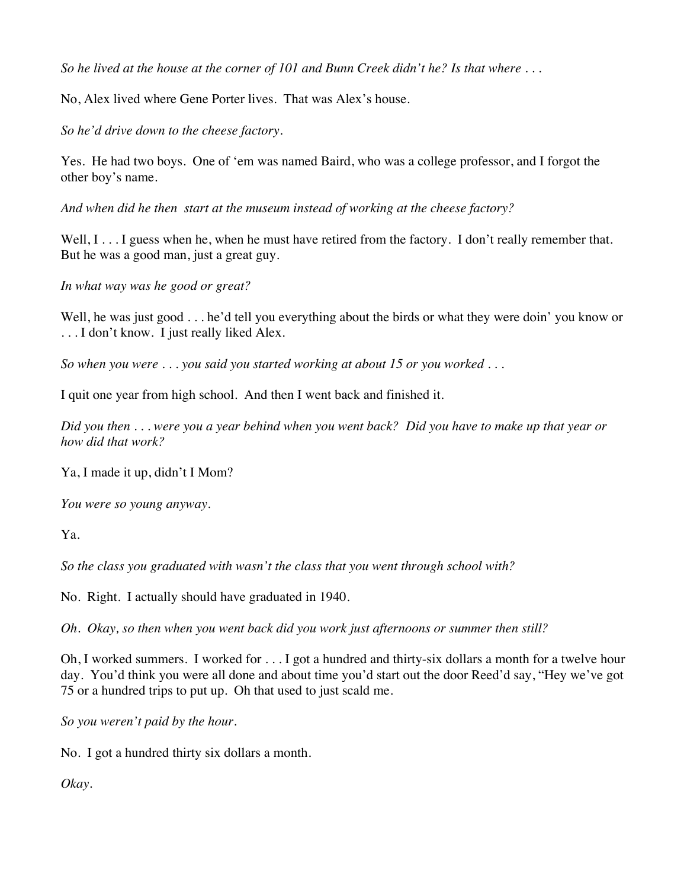*So he lived at the house at the corner of 101 and Bunn Creek didn't he? Is that where . . .*

No, Alex lived where Gene Porter lives. That was Alex's house.

*So he'd drive down to the cheese factory.*

Yes. He had two boys. One of 'em was named Baird, who was a college professor, and I forgot the other boy's name.

*And when did he then start at the museum instead of working at the cheese factory?*

Well, I . . . I guess when he, when he must have retired from the factory. I don't really remember that. But he was a good man, just a great guy.

*In what way was he good or great?*

Well, he was just good . . . he'd tell you everything about the birds or what they were doin' you know or . . . I don't know. I just really liked Alex.

*So when you were . . . you said you started working at about 15 or you worked . . .*

I quit one year from high school. And then I went back and finished it.

*Did you then . . . were you a year behind when you went back? Did you have to make up that year or how did that work?*

Ya, I made it up, didn't I Mom?

*You were so young anyway.*

Ya.

*So the class you graduated with wasn't the class that you went through school with?*

No. Right. I actually should have graduated in 1940.

*Oh. Okay, so then when you went back did you work just afternoons or summer then still?*

Oh, I worked summers. I worked for . . . I got a hundred and thirty-six dollars a month for a twelve hour day. You'd think you were all done and about time you'd start out the door Reed'd say, "Hey we've got 75 or a hundred trips to put up. Oh that used to just scald me.

*So you weren't paid by the hour.*

No. I got a hundred thirty six dollars a month.

*Okay.*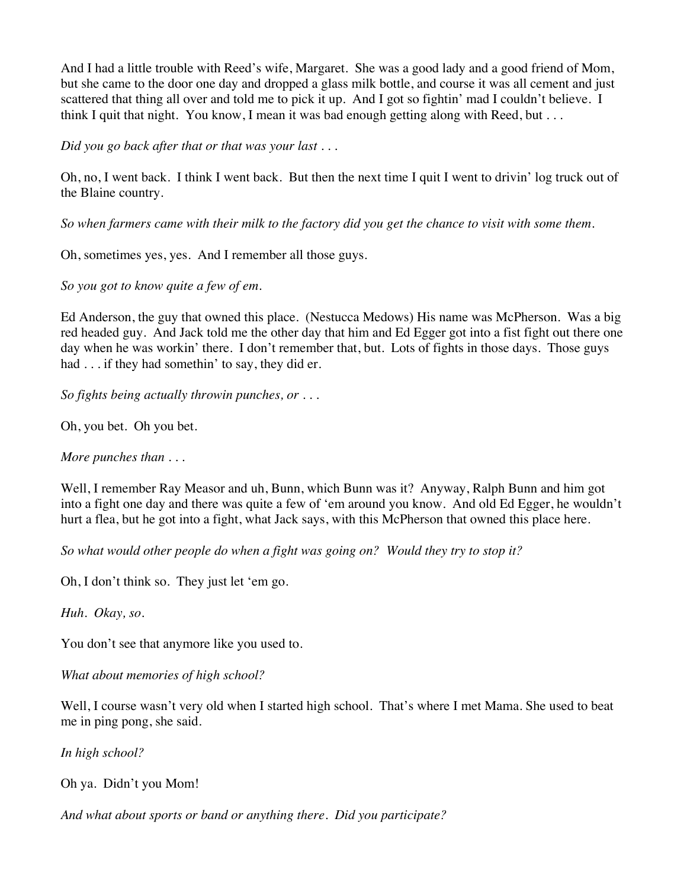And I had a little trouble with Reed's wife, Margaret. She was a good lady and a good friend of Mom, but she came to the door one day and dropped a glass milk bottle, and course it was all cement and just scattered that thing all over and told me to pick it up. And I got so fightin' mad I couldn't believe. I think I quit that night. You know, I mean it was bad enough getting along with Reed, but . . .

*Did you go back after that or that was your last . . .*

Oh, no, I went back. I think I went back. But then the next time I quit I went to drivin' log truck out of the Blaine country.

*So when farmers came with their milk to the factory did you get the chance to visit with some them.*

Oh, sometimes yes, yes. And I remember all those guys.

*So you got to know quite a few of em.*

Ed Anderson, the guy that owned this place. (Nestucca Medows) His name was McPherson. Was a big red headed guy. And Jack told me the other day that him and Ed Egger got into a fist fight out there one day when he was workin' there. I don't remember that, but. Lots of fights in those days. Those guys had . . . if they had somethin' to say, they did er.

*So fights being actually throwin punches, or . . .* 

Oh, you bet. Oh you bet.

*More punches than . . .* 

Well, I remember Ray Measor and uh, Bunn, which Bunn was it? Anyway, Ralph Bunn and him got into a fight one day and there was quite a few of 'em around you know. And old Ed Egger, he wouldn't hurt a flea, but he got into a fight, what Jack says, with this McPherson that owned this place here.

*So what would other people do when a fight was going on? Would they try to stop it?*

Oh, I don't think so. They just let 'em go.

*Huh. Okay, so.*

You don't see that anymore like you used to.

*What about memories of high school?*

Well, I course wasn't very old when I started high school. That's where I met Mama. She used to beat me in ping pong, she said.

*In high school?*

Oh ya. Didn't you Mom!

*And what about sports or band or anything there. Did you participate?*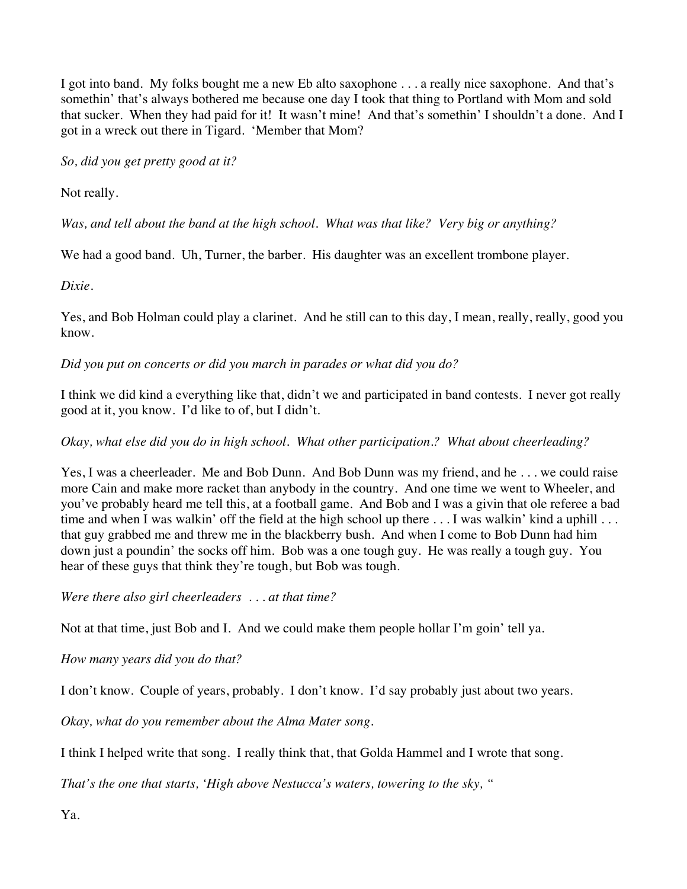I got into band. My folks bought me a new Eb alto saxophone . . . a really nice saxophone. And that's somethin' that's always bothered me because one day I took that thing to Portland with Mom and sold that sucker. When they had paid for it! It wasn't mine! And that's somethin' I shouldn't a done. And I got in a wreck out there in Tigard. 'Member that Mom?

*So, did you get pretty good at it?*

Not really.

*Was, and tell about the band at the high school. What was that like? Very big or anything?*

We had a good band. Uh, Turner, the barber. His daughter was an excellent trombone player.

*Dixie.*

Yes, and Bob Holman could play a clarinet. And he still can to this day, I mean, really, really, good you know.

*Did you put on concerts or did you march in parades or what did you do?*

I think we did kind a everything like that, didn't we and participated in band contests. I never got really good at it, you know. I'd like to of, but I didn't.

*Okay, what else did you do in high school. What other participation.? What about cheerleading?*

Yes, I was a cheerleader. Me and Bob Dunn. And Bob Dunn was my friend, and he . . . we could raise more Cain and make more racket than anybody in the country. And one time we went to Wheeler, and you've probably heard me tell this, at a football game. And Bob and I was a givin that ole referee a bad time and when I was walkin' off the field at the high school up there . . . I was walkin' kind a uphill . . . that guy grabbed me and threw me in the blackberry bush. And when I come to Bob Dunn had him down just a poundin' the socks off him. Bob was a one tough guy. He was really a tough guy. You hear of these guys that think they're tough, but Bob was tough.

*Were there also girl cheerleaders . . . at that time?*

Not at that time, just Bob and I. And we could make them people hollar I'm goin' tell ya.

*How many years did you do that?*

I don't know. Couple of years, probably. I don't know. I'd say probably just about two years.

*Okay, what do you remember about the Alma Mater song.*

I think I helped write that song. I really think that, that Golda Hammel and I wrote that song.

*That's the one that starts, 'High above Nestucca's waters, towering to the sky, "*

Ya.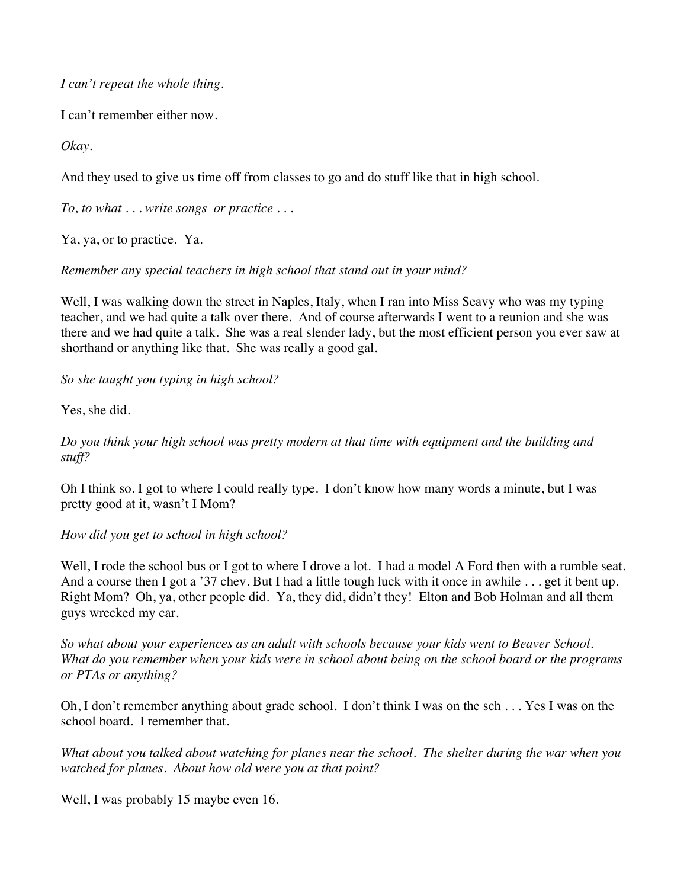*I can't repeat the whole thing.*

I can't remember either now.

*Okay.*

And they used to give us time off from classes to go and do stuff like that in high school.

*To, to what . . . write songs or practice . . .*

Ya, ya, or to practice. Ya.

## *Remember any special teachers in high school that stand out in your mind?*

Well, I was walking down the street in Naples, Italy, when I ran into Miss Seavy who was my typing teacher, and we had quite a talk over there. And of course afterwards I went to a reunion and she was there and we had quite a talk. She was a real slender lady, but the most efficient person you ever saw at shorthand or anything like that. She was really a good gal.

*So she taught you typing in high school?*

Yes, she did.

*Do you think your high school was pretty modern at that time with equipment and the building and stuff?*

Oh I think so. I got to where I could really type. I don't know how many words a minute, but I was pretty good at it, wasn't I Mom?

*How did you get to school in high school?*

Well, I rode the school bus or I got to where I drove a lot. I had a model A Ford then with a rumble seat. And a course then I got a '37 chev. But I had a little tough luck with it once in awhile ... get it bent up. Right Mom? Oh, ya, other people did. Ya, they did, didn't they! Elton and Bob Holman and all them guys wrecked my car.

*So what about your experiences as an adult with schools because your kids went to Beaver School. What do you remember when your kids were in school about being on the school board or the programs or PTAs or anything?*

Oh, I don't remember anything about grade school. I don't think I was on the sch . . . Yes I was on the school board. I remember that.

*What about you talked about watching for planes near the school. The shelter during the war when you watched for planes. About how old were you at that point?*

Well, I was probably 15 maybe even 16.